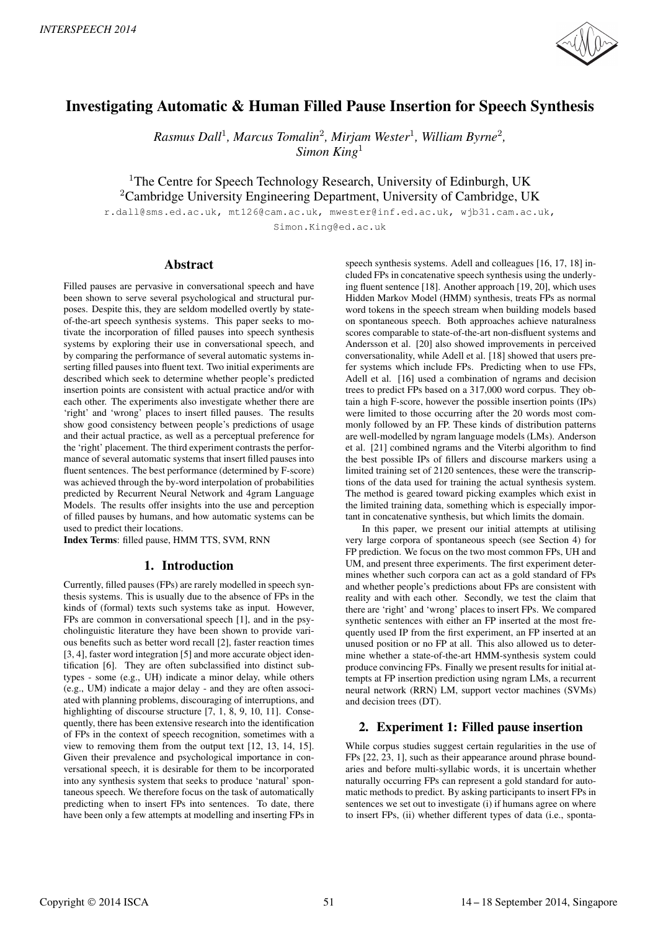

# Investigating Automatic & Human Filled Pause Insertion for Speech Synthesis

*Rasmus Dall*<sup>1</sup> *, Marcus Tomalin*<sup>2</sup> *, Mirjam Wester*<sup>1</sup> *, William Byrne*<sup>2</sup> *, Simon King*<sup>1</sup>

<sup>1</sup>The Centre for Speech Technology Research, University of Edinburgh, UK <sup>2</sup>Cambridge University Engineering Department, University of Cambridge, UK

r.dall@sms.ed.ac.uk, mt126@cam.ac.uk, mwester@inf.ed.ac.uk, wjb31.cam.ac.uk, Simon.King@ed.ac.uk

## Abstract

Filled pauses are pervasive in conversational speech and have been shown to serve several psychological and structural purposes. Despite this, they are seldom modelled overtly by stateof-the-art speech synthesis systems. This paper seeks to motivate the incorporation of filled pauses into speech synthesis systems by exploring their use in conversational speech, and by comparing the performance of several automatic systems inserting filled pauses into fluent text. Two initial experiments are described which seek to determine whether people's predicted insertion points are consistent with actual practice and/or with each other. The experiments also investigate whether there are 'right' and 'wrong' places to insert filled pauses. The results show good consistency between people's predictions of usage and their actual practice, as well as a perceptual preference for the 'right' placement. The third experiment contrasts the performance of several automatic systems that insert filled pauses into fluent sentences. The best performance (determined by F-score) was achieved through the by-word interpolation of probabilities predicted by Recurrent Neural Network and 4gram Language Models. The results offer insights into the use and perception of filled pauses by humans, and how automatic systems can be used to predict their locations.

Index Terms: filled pause, HMM TTS, SVM, RNN

# 1. Introduction

Currently, filled pauses (FPs) are rarely modelled in speech synthesis systems. This is usually due to the absence of FPs in the kinds of (formal) texts such systems take as input. However, FPs are common in conversational speech [1], and in the psycholinguistic literature they have been shown to provide various benefits such as better word recall [2], faster reaction times [3, 4], faster word integration [5] and more accurate object identification [6]. They are often subclassified into distinct subtypes - some (e.g., UH) indicate a minor delay, while others (e.g., UM) indicate a major delay - and they are often associated with planning problems, discouraging of interruptions, and highlighting of discourse structure [7, 1, 8, 9, 10, 11]. Consequently, there has been extensive research into the identification of FPs in the context of speech recognition, sometimes with a view to removing them from the output text [12, 13, 14, 15]. Given their prevalence and psychological importance in conversational speech, it is desirable for them to be incorporated into any synthesis system that seeks to produce 'natural' spontaneous speech. We therefore focus on the task of automatically predicting when to insert FPs into sentences. To date, there have been only a few attempts at modelling and inserting FPs in speech synthesis systems. Adell and colleagues [16, 17, 18] included FPs in concatenative speech synthesis using the underlying fluent sentence [18]. Another approach [19, 20], which uses Hidden Markov Model (HMM) synthesis, treats FPs as normal word tokens in the speech stream when building models based on spontaneous speech. Both approaches achieve naturalness scores comparable to state-of-the-art non-disfluent systems and Andersson et al. [20] also showed improvements in perceived conversationality, while Adell et al. [18] showed that users prefer systems which include FPs. Predicting when to use FPs, Adell et al. [16] used a combination of ngrams and decision trees to predict FPs based on a 317,000 word corpus. They obtain a high F-score, however the possible insertion points (IPs) were limited to those occurring after the 20 words most commonly followed by an FP. These kinds of distribution patterns are well-modelled by ngram language models (LMs). Anderson et al. [21] combined ngrams and the Viterbi algorithm to find the best possible IPs of fillers and discourse markers using a limited training set of 2120 sentences, these were the transcriptions of the data used for training the actual synthesis system. The method is geared toward picking examples which exist in the limited training data, something which is especially important in concatenative synthesis, but which limits the domain.

In this paper, we present our initial attempts at utilising very large corpora of spontaneous speech (see Section 4) for FP prediction. We focus on the two most common FPs, UH and UM, and present three experiments. The first experiment determines whether such corpora can act as a gold standard of FPs and whether people's predictions about FPs are consistent with reality and with each other. Secondly, we test the claim that there are 'right' and 'wrong' places to insert FPs. We compared synthetic sentences with either an FP inserted at the most frequently used IP from the first experiment, an FP inserted at an unused position or no FP at all. This also allowed us to determine whether a state-of-the-art HMM-synthesis system could produce convincing FPs. Finally we present results for initial attempts at FP insertion prediction using ngram LMs, a recurrent neural network (RRN) LM, support vector machines (SVMs) and decision trees (DT).

# 2. Experiment 1: Filled pause insertion

While corpus studies suggest certain regularities in the use of FPs [22, 23, 1], such as their appearance around phrase boundaries and before multi-syllabic words, it is uncertain whether naturally occurring FPs can represent a gold standard for automatic methods to predict. By asking participants to insert FPs in sentences we set out to investigate (i) if humans agree on where to insert FPs, (ii) whether different types of data (i.e., sponta-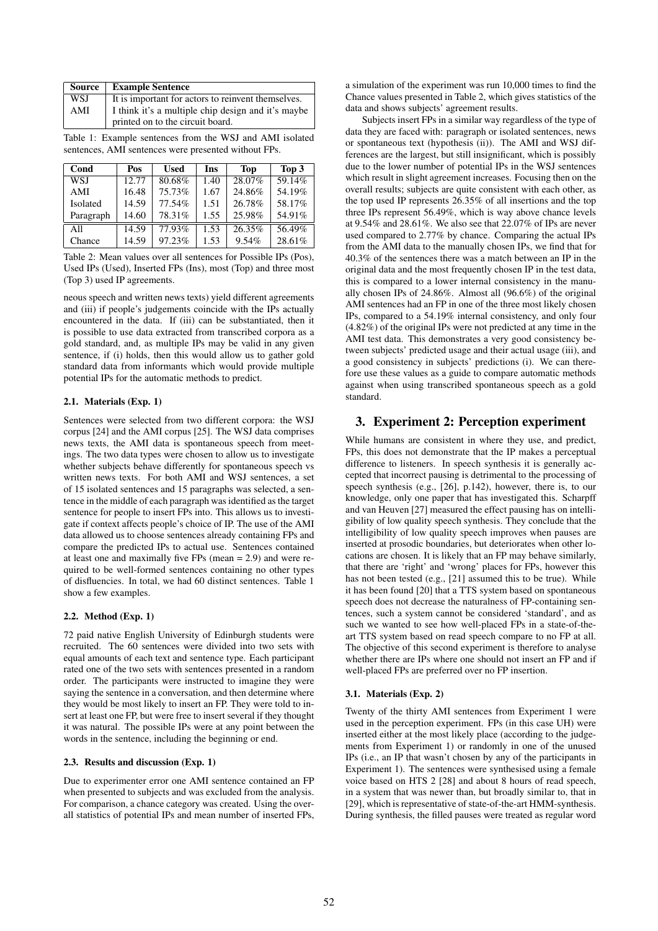| Source | <b>Example Sentence</b>                                                                |
|--------|----------------------------------------------------------------------------------------|
| WSJ    | It is important for actors to reinvent themselves.                                     |
| AMI    | I think it's a multiple chip design and it's maybe<br>printed on to the circuit board. |

Table 1: Example sentences from the WSJ and AMI isolated sentences, AMI sentences were presented without FPs.

| Cond       | Pos   | <b>Used</b> | <b>Ins</b> | <b>Top</b> | Top 3  |
|------------|-------|-------------|------------|------------|--------|
| <b>WSJ</b> | 12.77 | 80.68%      | 1.40       | 28.07%     | 59.14% |
| AMI        | 16.48 | 75.73%      | 1.67       | 24.86%     | 54.19% |
| Isolated   | 14.59 | 77.54%      | 1.51       | 26.78%     | 58.17% |
| Paragraph  | 14.60 | 78.31%      | 1.55       | 25.98%     | 54.91% |
| All        | 14.59 | $77.93\%$   | 1.53       | 26.35%     | 56.49% |
| Chance     | 14.59 | 97.23%      | 1.53       | 9.54%      | 28.61% |

Table 2: Mean values over all sentences for Possible IPs (Pos), Used IPs (Used), Inserted FPs (Ins), most (Top) and three most (Top 3) used IP agreements.

neous speech and written news texts) yield different agreements and (iii) if people's judgements coincide with the IPs actually encountered in the data. If (iii) can be substantiated, then it is possible to use data extracted from transcribed corpora as a gold standard, and, as multiple IPs may be valid in any given sentence, if (i) holds, then this would allow us to gather gold standard data from informants which would provide multiple potential IPs for the automatic methods to predict.

### 2.1. Materials (Exp. 1)

Sentences were selected from two different corpora: the WSJ corpus [24] and the AMI corpus [25]. The WSJ data comprises news texts, the AMI data is spontaneous speech from meetings. The two data types were chosen to allow us to investigate whether subjects behave differently for spontaneous speech vs written news texts. For both AMI and WSJ sentences, a set of 15 isolated sentences and 15 paragraphs was selected, a sentence in the middle of each paragraph was identified as the target sentence for people to insert FPs into. This allows us to investigate if context affects people's choice of IP. The use of the AMI data allowed us to choose sentences already containing FPs and compare the predicted IPs to actual use. Sentences contained at least one and maximally five FPs (mean = 2.9) and were required to be well-formed sentences containing no other types of disfluencies. In total, we had 60 distinct sentences. Table 1 show a few examples.

### 2.2. Method (Exp. 1)

72 paid native English University of Edinburgh students were recruited. The 60 sentences were divided into two sets with equal amounts of each text and sentence type. Each participant rated one of the two sets with sentences presented in a random order. The participants were instructed to imagine they were saying the sentence in a conversation, and then determine where they would be most likely to insert an FP. They were told to insert at least one FP, but were free to insert several if they thought it was natural. The possible IPs were at any point between the words in the sentence, including the beginning or end.

#### 2.3. Results and discussion (Exp. 1)

Due to experimenter error one AMI sentence contained an FP when presented to subjects and was excluded from the analysis. For comparison, a chance category was created. Using the overall statistics of potential IPs and mean number of inserted FPs, a simulation of the experiment was run 10,000 times to find the Chance values presented in Table 2, which gives statistics of the data and shows subjects' agreement results.

Subjects insert FPs in a similar way regardless of the type of data they are faced with: paragraph or isolated sentences, news or spontaneous text (hypothesis (ii)). The AMI and WSJ differences are the largest, but still insignificant, which is possibly due to the lower number of potential IPs in the WSJ sentences which result in slight agreement increases. Focusing then on the overall results; subjects are quite consistent with each other, as the top used IP represents 26.35% of all insertions and the top three IPs represent 56.49%, which is way above chance levels at 9.54% and 28.61%. We also see that 22.07% of IPs are never used compared to 2.77% by chance. Comparing the actual IPs from the AMI data to the manually chosen IPs, we find that for 40.3% of the sentences there was a match between an IP in the original data and the most frequently chosen IP in the test data, this is compared to a lower internal consistency in the manually chosen IPs of 24.86%. Almost all (96.6%) of the original AMI sentences had an FP in one of the three most likely chosen IPs, compared to a 54.19% internal consistency, and only four (4.82%) of the original IPs were not predicted at any time in the AMI test data. This demonstrates a very good consistency between subjects' predicted usage and their actual usage (iii), and a good consistency in subjects' predictions (i). We can therefore use these values as a guide to compare automatic methods against when using transcribed spontaneous speech as a gold standard.

## 3. Experiment 2: Perception experiment

While humans are consistent in where they use, and predict, FPs, this does not demonstrate that the IP makes a perceptual difference to listeners. In speech synthesis it is generally accepted that incorrect pausing is detrimental to the processing of speech synthesis (e.g., [26], p.142), however, there is, to our knowledge, only one paper that has investigated this. Scharpff and van Heuven [27] measured the effect pausing has on intelligibility of low quality speech synthesis. They conclude that the intelligibility of low quality speech improves when pauses are inserted at prosodic boundaries, but deteriorates when other locations are chosen. It is likely that an FP may behave similarly, that there are 'right' and 'wrong' places for FPs, however this has not been tested (e.g., [21] assumed this to be true). While it has been found [20] that a TTS system based on spontaneous speech does not decrease the naturalness of FP-containing sentences, such a system cannot be considered 'standard', and as such we wanted to see how well-placed FPs in a state-of-theart TTS system based on read speech compare to no FP at all. The objective of this second experiment is therefore to analyse whether there are IPs where one should not insert an FP and if well-placed FPs are preferred over no FP insertion.

### 3.1. Materials (Exp. 2)

Twenty of the thirty AMI sentences from Experiment 1 were used in the perception experiment. FPs (in this case UH) were inserted either at the most likely place (according to the judgements from Experiment 1) or randomly in one of the unused IPs (i.e., an IP that wasn't chosen by any of the participants in Experiment 1). The sentences were synthesised using a female voice based on HTS 2 [28] and about 8 hours of read speech, in a system that was newer than, but broadly similar to, that in [29], which is representative of state-of-the-art HMM-synthesis. During synthesis, the filled pauses were treated as regular word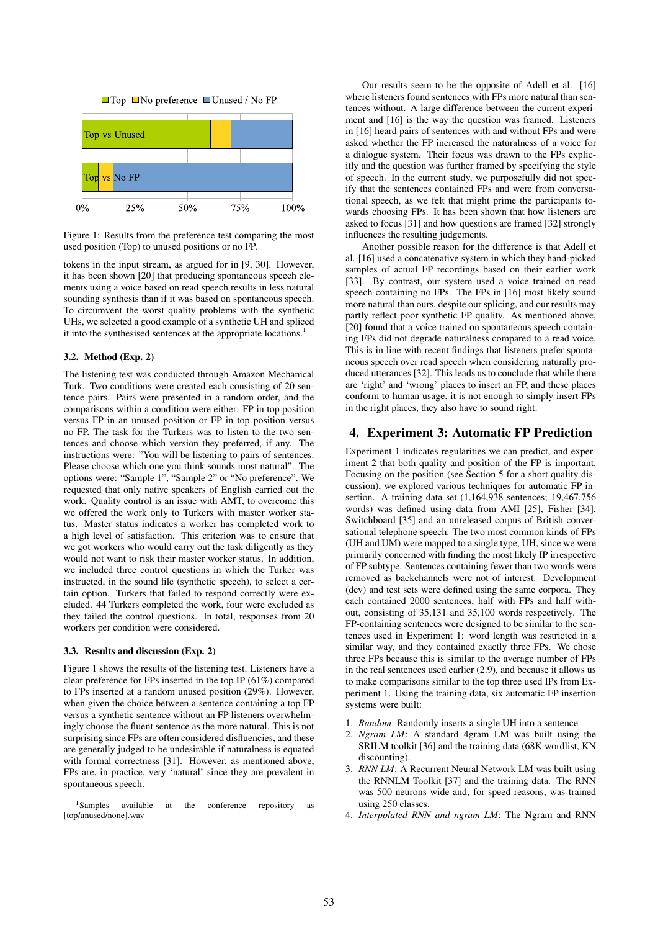



Figure 1: Results from the preference test comparing the most used position (Top) to unused positions or no FP.

tokens in the input stream, as argued for in [9, 30]. However, it has been shown [20] that producing spontaneous speech elements using a voice based on read speech results in less natural sounding synthesis than if it was based on spontaneous speech. To circumvent the worst quality problems with the synthetic UHs, we selected a good example of a synthetic UH and spliced it into the synthesised sentences at the appropriate locations.<sup>1</sup>

#### 3.2. Method (Exp. 2)

The listening test was conducted through Amazon Mechanical Turk. Two conditions were created each consisting of 20 sentence pairs. Pairs were presented in a random order, and the comparisons within a condition were either: FP in top position versus FP in an unused position or FP in top position versus no FP. The task for the Turkers was to listen to the two sentences and choose which version they preferred, if any. The instructions were: "You will be listening to pairs of sentences. Please choose which one you think sounds most natural". The options were: "Sample 1", "Sample 2" or "No preference". We requested that only native speakers of English carried out the work. Quality control is an issue with AMT, to overcome this we offered the work only to Turkers with master worker status. Master status indicates a worker has completed work to a high level of satisfaction. This criterion was to ensure that we got workers who would carry out the task diligently as they would not want to risk their master worker status. In addition, we included three control questions in which the Turker was instructed, in the sound file (synthetic speech), to select a certain option. Turkers that failed to respond correctly were excluded. 44 Turkers completed the work, four were excluded as they failed the control questions. In total, responses from 20 workers per condition were considered.

#### 3.3. Results and discussion (Exp. 2)

Figure 1 shows the results of the listening test. Listeners have a clear preference for FPs inserted in the top IP (61%) compared to FPs inserted at a random unused position (29%). However, when given the choice between a sentence containing a top FP versus a synthetic sentence without an FP listeners overwhelmingly choose the fluent sentence as the more natural. This is not surprising since FPs are often considered disfluencies, and these are generally judged to be undesirable if naturalness is equated with formal correctness [31]. However, as mentioned above, FPs are, in practice, very 'natural' since they are prevalent in spontaneous speech.

Our results seem to be the opposite of Adell et al. [16] where listeners found sentences with FPs more natural than sentences without. A large difference between the current experiment and [16] is the way the question was framed. Listeners in [16] heard pairs of sentences with and without FPs and were asked whether the FP increased the naturalness of a voice for a dialogue system. Their focus was drawn to the FPs explicitly and the question was further framed by specifying the style of speech. In the current study, we purposefully did not specify that the sentences contained FPs and were from conversational speech, as we felt that might prime the participants towards choosing FPs. It has been shown that how listeners are asked to focus [31] and how questions are framed [32] strongly influences the resulting judgements.

Another possible reason for the difference is that Adell et al. [16] used a concatenative system in which they hand-picked samples of actual FP recordings based on their earlier work [33]. By contrast, our system used a voice trained on read speech containing no FPs. The FPs in [16] most likely sound more natural than ours, despite our splicing, and our results may partly reflect poor synthetic FP quality. As mentioned above, [20] found that a voice trained on spontaneous speech containing FPs did not degrade naturalness compared to a read voice. This is in line with recent findings that listeners prefer spontaneous speech over read speech when considering naturally produced utterances [32]. This leads us to conclude that while there are 'right' and 'wrong' places to insert an FP, and these places conform to human usage, it is not enough to simply insert FPs in the right places, they also have to sound right.

# 4. Experiment 3: Automatic FP Prediction

Experiment 1 indicates regularities we can predict, and experiment 2 that both quality and position of the FP is important. Focusing on the position (see Section 5 for a short quality discussion), we explored various techniques for automatic FP insertion. A training data set (1,164,938 sentences; 19,467,756 words) was defined using data from AMI [25], Fisher [34], Switchboard [35] and an unreleased corpus of British conversational telephone speech. The two most common kinds of FPs (UH and UM) were mapped to a single type, UH, since we were primarily concerned with finding the most likely IP irrespective of FP subtype. Sentences containing fewer than two words were removed as backchannels were not of interest. Development (dev) and test sets were defined using the same corpora. They each contained 2000 sentences, half with FPs and half without, consisting of 35,131 and 35,100 words respectively. The FP-containing sentences were designed to be similar to the sentences used in Experiment 1: word length was restricted in a similar way, and they contained exactly three FPs. We chose three FPs because this is similar to the average number of FPs in the real sentences used earlier (2.9), and because it allows us to make comparisons similar to the top three used IPs from Experiment 1. Using the training data, six automatic FP insertion systems were built:

- 1. *Random*: Randomly inserts a single UH into a sentence
- 2. *Ngram LM*: A standard 4gram LM was built using the SRILM toolkit [36] and the training data (68K wordlist, KN discounting).
- 3. *RNN LM*: A Recurrent Neural Network LM was built using the RNNLM Toolkit [37] and the training data. The RNN was 500 neurons wide and, for speed reasons, was trained using 250 classes.
- 4. *Interpolated RNN and ngram LM*: The Ngram and RNN

<sup>&</sup>lt;sup>1</sup>Samples available at the conference repository as [top/unused/none].wav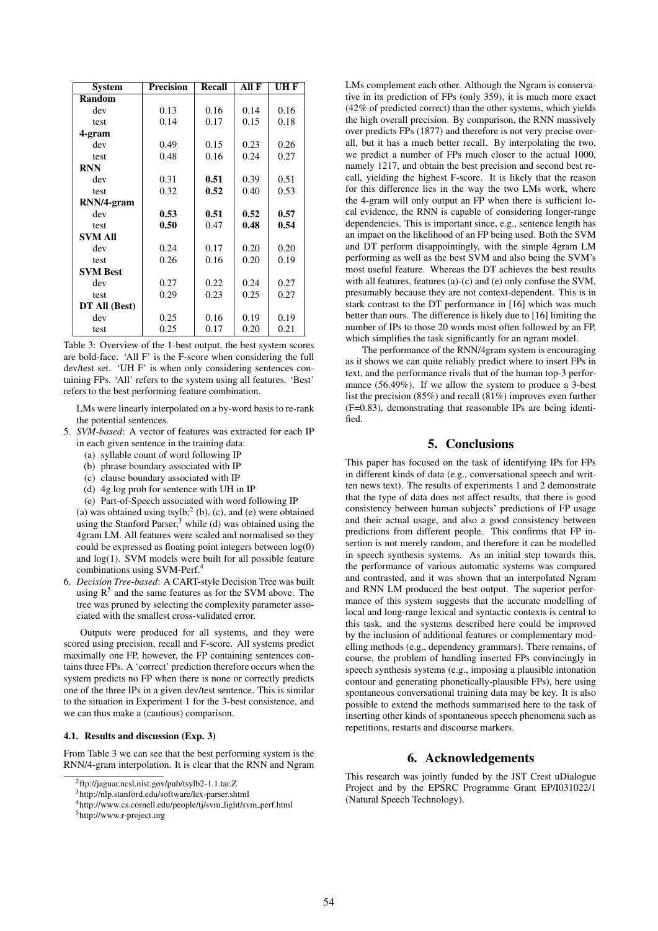| <b>System</b>   | <b>Precision</b> | Recall | All F | UH F |  |
|-----------------|------------------|--------|-------|------|--|
| <b>Random</b>   |                  |        |       |      |  |
| dev             | 0.13             | 0.16   | 0.14  | 0.16 |  |
| test            | 0.14             | 0.17   | 0.15  | 0.18 |  |
| 4-gram          |                  |        |       |      |  |
| dev             | 0.49             | 0.15   | 0.23  | 0.26 |  |
| test            | 0.48             | 0.16   | 0.24  | 0.27 |  |
| <b>RNN</b>      |                  |        |       |      |  |
| dev             | 0.31             | 0.51   | 0.39  | 0.51 |  |
| test            | 0.32             | 0.52   | 0.40  | 0.53 |  |
| RNN/4-gram      |                  |        |       |      |  |
| dev             | 0.53             | 0.51   | 0.52  | 0.57 |  |
| test            | 0.50             | 0.47   | 0.48  | 0.54 |  |
| <b>SVM All</b>  |                  |        |       |      |  |
| dev             | 0.24             | 0.17   | 0.20  | 0.20 |  |
| test            | 0.26             | 0.16   | 0.20  | 0.19 |  |
| <b>SVM Best</b> |                  |        |       |      |  |
| dev             | 0.27             | 0.22   | 0.24  | 0.27 |  |
| test            | 0.29             | 0.23   | 0.25  | 0.27 |  |
| DT All (Best)   |                  |        |       |      |  |
| dev             | 0.25             | 0.16   | 0.19  | 0.19 |  |
| test            | 0.25             | 0.17   | 0.20  | 0.21 |  |

Table 3: Overview of the 1-best output, the best system scores are bold-face. 'All F' is the F-score when considering the full dev/test set. 'UH F' is when only considering sentences containing FPs. 'All' refers to the system using all features. 'Best' refers to the best performing feature combination.

LMs were linearly interpolated on a by-word basis to re-rank the potential sentences.

- 5. *SVM-based*: A vector of features was extracted for each IP in each given sentence in the training data:
	- (a) syllable count of word following IP
	- (b) phrase boundary associated with IP
	- (c) clause boundary associated with IP
	- (d) 4g log prob for sentence with UH in IP
	- (e) Part-of-Speech associated with word following IP

(a) was obtained using tsylb;<sup>2</sup> (b), (c), and (e) were obtained using the Stanford Parser, $3$  while (d) was obtained using the 4gram LM. All features were scaled and normalised so they could be expressed as floating point integers between log(0) and log(1). SVM models were built for all possible feature combinations using SVM-Perf.<sup>4</sup>

6. *Decision Tree-based*: A CART-style Decision Tree was built using  $R<sup>5</sup>$  and the same features as for the SVM above. The tree was pruned by selecting the complexity parameter associated with the smallest cross-validated error.

Outputs were produced for all systems, and they were scored using precision, recall and F-score. All systems predict maximally one FP, however, the FP containing sentences contains three FPs. A 'correct' prediction therefore occurs when the system predicts no FP when there is none or correctly predicts one of the three IPs in a given dev/test sentence. This is similar to the situation in Experiment 1 for the 3-best consistence, and we can thus make a (cautious) comparison.

#### 4.1. Results and discussion (Exp. 3)

From Table 3 we can see that the best performing system is the RNN/4-gram interpolation. It is clear that the RNN and Ngram

LMs complement each other. Although the Ngram is conservative in its prediction of FPs (only 359), it is much more exact (42% of predicted correct) than the other systems, which yields the high overall precision. By comparison, the RNN massively over predicts FPs (1877) and therefore is not very precise overall, but it has a much better recall. By interpolating the two, we predict a number of FPs much closer to the actual 1000, namely 1217, and obtain the best precision and second best recall, yielding the highest F-score. It is likely that the reason for this difference lies in the way the two LMs work, where the 4-gram will only output an FP when there is sufficient local evidence, the RNN is capable of considering longer-range dependencies. This is important since, e.g., sentence length has an impact on the likelihood of an FP being used. Both the SVM and DT perform disappointingly, with the simple 4gram LM performing as well as the best SVM and also being the SVM's most useful feature. Whereas the DT achieves the best results with all features, features (a)-(c) and (e) only confuse the SVM, presumably because they are not context-dependent. This is in stark contrast to the DT performance in [16] which was much better than ours. The difference is likely due to [16] limiting the number of IPs to those 20 words most often followed by an FP, which simplifies the task significantly for an ngram model.

The performance of the RNN/4gram system is encouraging as it shows we can quite reliably predict where to insert FPs in text, and the performance rivals that of the human top-3 performance (56.49%). If we allow the system to produce a 3-best list the precision (85%) and recall (81%) improves even further (F=0.83), demonstrating that reasonable IPs are being identified.

# 5. Conclusions

This paper has focused on the task of identifying IPs for FPs in different kinds of data (e.g., conversational speech and written news text). The results of experiments 1 and 2 demonstrate that the type of data does not affect results, that there is good consistency between human subjects' predictions of FP usage and their actual usage, and also a good consistency between predictions from different people. This confirms that FP insertion is not merely random, and therefore it can be modelled in speech synthesis systems. As an initial step towards this, the performance of various automatic systems was compared and contrasted, and it was shown that an interpolated Ngram and RNN LM produced the best output. The superior performance of this system suggests that the accurate modelling of local and long-range lexical and syntactic contexts is central to this task, and the systems described here could be improved by the inclusion of additional features or complementary modelling methods (e.g., dependency grammars). There remains, of course, the problem of handling inserted FPs convincingly in speech synthesis systems (e.g., imposing a plausible intonation contour and generating phonetically-plausible FPs), here using spontaneous conversational training data may be key. It is also possible to extend the methods summarised here to the task of inserting other kinds of spontaneous speech phenomena such as repetitions, restarts and discourse markers.

### 6. Acknowledgements

This research was jointly funded by the JST Crest uDialogue Project and by the EPSRC Programme Grant EP/I031022/1 (Natural Speech Technology).

<sup>2</sup> ftp://jaguar.ncsl.nist.gov/pub/tsylb2-1.1.tar.Z

<sup>3</sup>http://nlp.stanford.edu/software/lex-parser.shtml

<sup>4</sup>http://www.cs.cornell.edu/people/tj/svm light/svm perf.html

<sup>5</sup>http://www.r-project.org